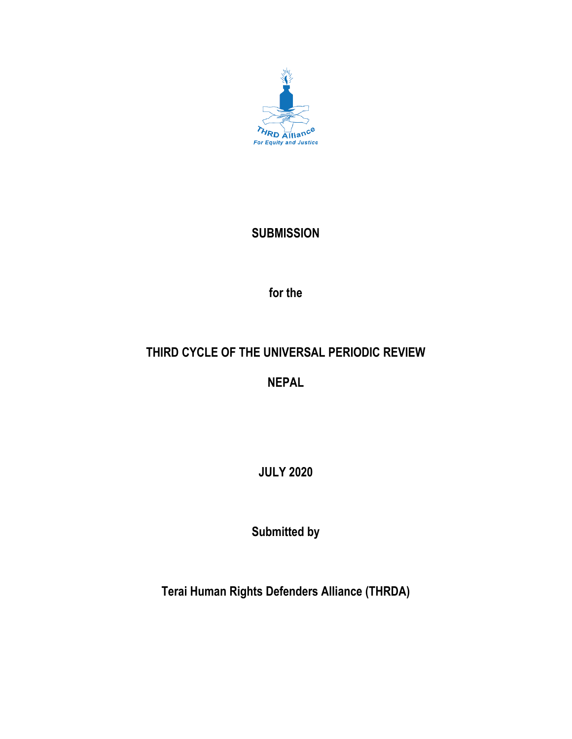

## **SUBMISSION**

**for the**

# **THIRD CYCLE OF THE UNIVERSAL PERIODIC REVIEW**

**NEPAL**

**JULY 2020**

**Submitted by**

**Terai Human Rights Defenders Alliance (THRDA)**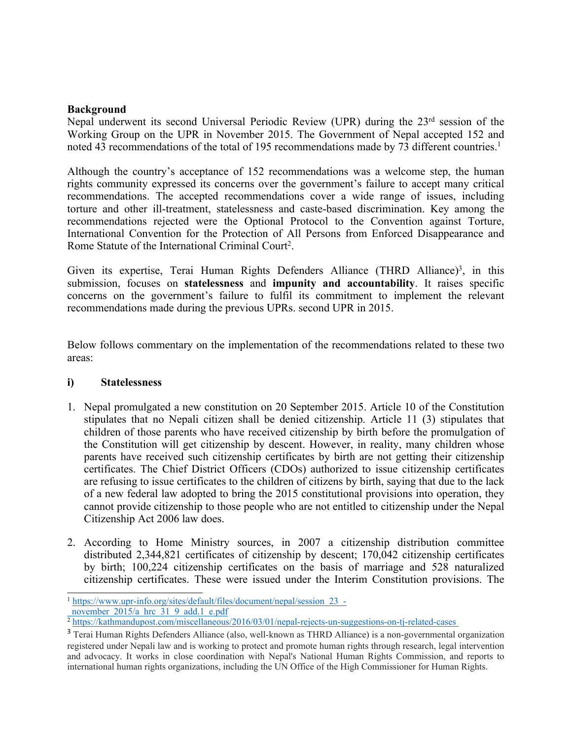#### **Background**

Nepal underwent its second Universal Periodic Review (UPR) during the 23<sup>rd</sup> session of the Working Group on the UPR in November 2015. The Government of Nepal accepted 152 and noted 43 recommendations of the total of 195 recommendations made by 73 different countries.<sup>1</sup>

Although the country'<sup>s</sup> acceptance of 152 recommendations was <sup>a</sup> welcome step, the human rights community expressed its concerns over the government'<sup>s</sup> failure to accep<sup>t</sup> many critical recommendations. The accepted recommendations cover <sup>a</sup> wide range of issues, including torture and other ill-treatment, statelessness and caste-based discrimination. Key among the recommendations rejected were the Optional Protocol to the Convention against Torture, International Convention for the Protection of All Persons from Enforced Disappearance and Rome Statute of the International Criminal Court<sup>2</sup>.

Given its expertise, Terai Human Rights Defenders Alliance (THRD Alliance)<sup>3</sup>, in this submission, focuses on **statelessness** and **impunity and accountability**. It raises specific concerns on the government'<sup>s</sup> failure to fulfil its commitment to implement the relevant recommendations made during the previous UPRs. second UPR in 2015.

Below follows commentary on the implementation of the recommendations related to these two areas:

### **i) Statelessness**

- 1. Nepal promulgated <sup>a</sup> new constitution on 20 September 2015. Article 10 of the Constitution stipulates that no Nepali citizen shall be denied citizenship. Article 11 (3) stipulates that children of those parents who have received citizenship by birth before the promulgation of the Constitution will ge<sup>t</sup> citizenship by descent. However, in reality, many children whose parents have received such citizenship certificates by birth are not getting their citizenship certificates. The Chief District Officers (CDOs) authorized to issue citizenship certificates are refusing to issue certificates to the children of citizens by birth, saying that due to the lack of <sup>a</sup> new federal law adopted to bring the 2015 constitutional provisions into operation, they cannot provide citizenship to those people who are not entitled to citizenship under the Nepal Citizenship Act 2006 law does.
- 2. According to Home Ministry sources, in 2007 <sup>a</sup> citizenship distribution committee distributed 2,344,821 certificates of citizenship by descent; 170,042 citizenship certificates by birth; 100,224 citizenship certificates on the basis of marriage and 528 naturalized citizenship certificates. These were issued under the Interim Constitution provisions. The

<sup>&</sup>lt;sup>1</sup> [https://www.upr-info.org/sites/default/files/document/nepal/session\\_23\\_](https://www.upr-info.org/sites/default/files/document/nepal/session_23_-_november_2015/a_hrc_31_9_add.1_e.pdf) november  $2015/a$  hrc  $31.9$  add.1 e.pdf

<sup>&</sup>lt;sup>2</sup> <https://kathmandupost.com/miscellaneous/2016/03/01/nepal-rejects-un-suggestions-on-tj-related-cases>

<sup>&</sup>lt;sup>3</sup> Terai Human Rights Defenders Alliance (also, well-known as THRD Alliance) is a non-governmental organization registered under Nepali law and is working to protect and promote human rights through research, legal intervention and advocacy. It works in close coordination with Nepal's National Human Rights Commission, and reports to international human rights organizations, including the UN Office of the High Commissioner for Human Rights.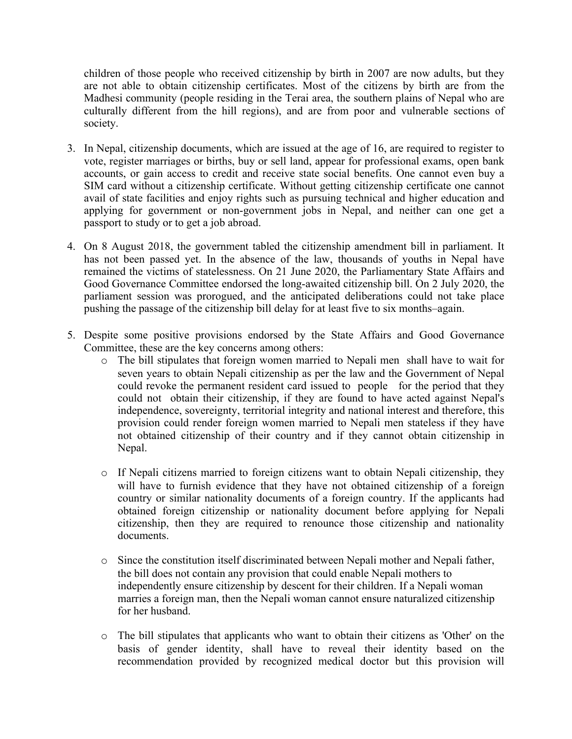children of those people who received citizenship by birth in 2007 are now adults, but they are not able to obtain citizenship certificates. Most of the citizens by birth are from the Madhesi community (people residing in the Terai area, the southern plains of Nepal who are culturally different from the hill regions), and are from poor and vulnerable sections of society.

- 3. In Nepal, citizenship documents, which are issued at the age of 16, are required to register to vote, register marriages or births, buy or sell land, appear for professional exams, open bank accounts, or gain access to credit and receive state social benefits. One cannot even buy <sup>a</sup> SIM card without <sup>a</sup> citizenship certificate. Without getting citizenship certificate one cannot avail of state facilities and enjoy rights such as pursuing technical and higher education and applying for governmen<sup>t</sup> or non-governmen<sup>t</sup> jobs in Nepal, and neither can one ge<sup>t</sup> <sup>a</sup> passpor<sup>t</sup> to study or to ge<sup>t</sup> <sup>a</sup> job abroad.
- 4. On 8 August 2018, the governmen<sup>t</sup> tabled the citizenship amendment bill in parliament. It has not been passed yet. In the absence of the law, thousands of youths in Nepal have remained the victims of statelessness. On 21 June 2020, the Parliamentary State Affairs and Good Governance Committee endorsed the long-awaited citizenship bill. On 2 July 2020, the parliament session was prorogued, and the anticipated deliberations could not take place pushing the passage of the citizenship bill delay for at least five to six months–again.
- 5. Despite some positive provisions endorsed by the State Affairs and Good Governance Committee, these are the key concerns among others:
	- <sup>o</sup> The bill stipulates that foreign women married to Nepali men shall have to wait for seven years to obtain Nepali citizenship as per the law and the Government of Nepal could revoke the permanen<sup>t</sup> resident card issued to people for the period that they could not obtain their citizenship, if they are found to have acted against Nepal's independence, sovereignty, territorial integrity and national interest and therefore, this provision could render foreign women married to Nepali men stateless if they have not obtained citizenship of their country and if they cannot obtain citizenship in Nepal.
	- <sup>o</sup> If Nepali citizens married to foreign citizens want to obtain Nepali citizenship, they will have to furnish evidence that they have not obtained citizenship of <sup>a</sup> foreign country or similar nationality documents of <sup>a</sup> foreign country. If the applicants had obtained foreign citizenship or nationality document before applying for Nepali citizenship, then they are required to renounce those citizenship and nationality documents.
	- <sup>o</sup> Since the constitution itself discriminated between Nepali mother and Nepali father, the bill does not contain any provision that could enable Nepali mothers to independently ensure citizenship by descent for their children. If <sup>a</sup> Nepali woman marries <sup>a</sup> foreign man, then the Nepali woman cannot ensure naturalized citizenship for her husband.
	- <sup>o</sup> The bill stipulates that applicants who want to obtain their citizens as 'Other' on the basis of gender identity, shall have to reveal their identity based on the recommendation provided by recognized medical doctor but this provision will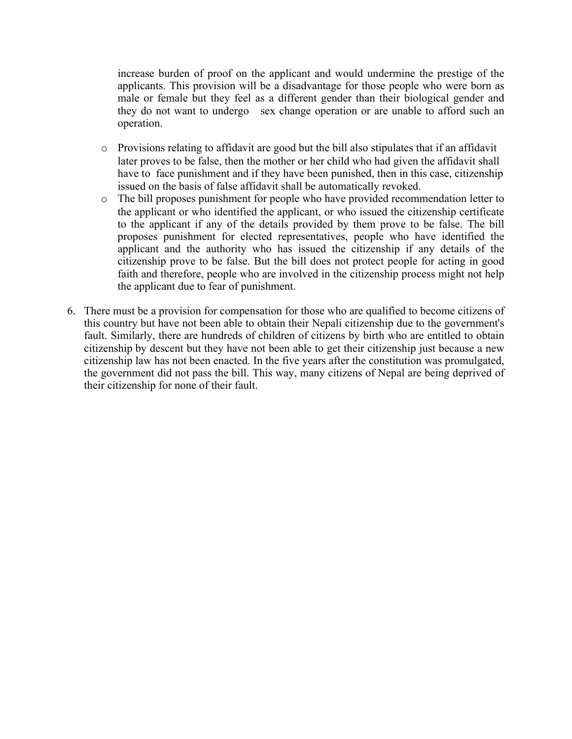increase burden of proof on the applicant and would undermine the prestige of the applicants. This provision will be <sup>a</sup> disadvantage for those people who were born as male or female but they feel as <sup>a</sup> different gender than their biological gender and they do not want to undergo sex change operation or are unable to afford such an operation.

- <sup>o</sup> Provisions relating to affidavit are good but the bill also stipulates that if an affidavit later proves to be false, then the mother or her child who had given the affidavit shall have to face punishment and if they have been punished, then in this case, citizenship issued on the basis of false affidavit shall be automatically revoked.
- <sup>o</sup> The bill proposes punishment for people who have provided recommendation letter to the applicant or who identified the applicant, or who issued the citizenship certificate to the applicant if any of the details provided by them prove to be false. The bill proposes punishment for elected representatives, people who have identified the applicant and the authority who has issued the citizenship if any details of the citizenship prove to be false. But the bill does not protect people for acting in good faith and therefore, people who are involved in the citizenship process might not help the applicant due to fear of punishment.
- 6. There must be <sup>a</sup> provision for compensation for those who are qualified to become citizens of this country but have not been able to obtain their Nepali citizenship due to the government's fault. Similarly, there are hundreds of children of citizens by birth who are entitled to obtain citizenship by descent but they have not been able to ge<sup>t</sup> their citizenship just because <sup>a</sup> new citizenship law has not been enacted. In the five years after the constitution was promulgated, the governmen<sup>t</sup> did not pass the bill. This way, many citizens of Nepal are being deprived of their citizenship for none of their fault.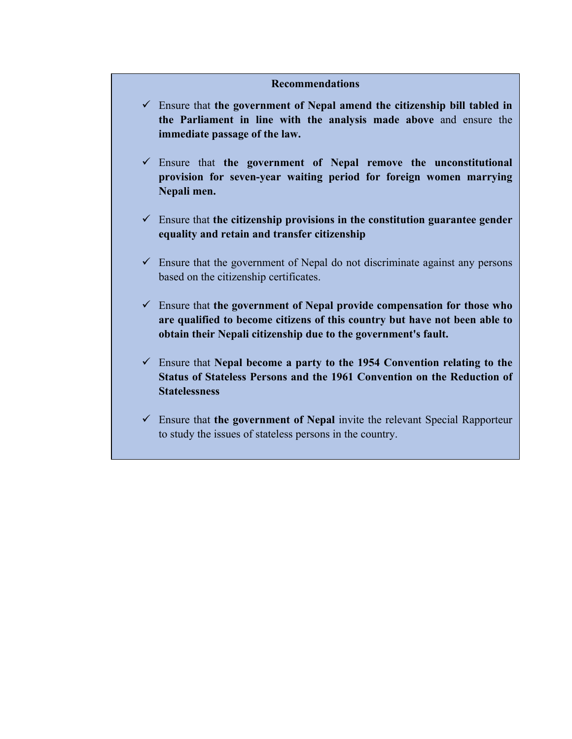#### **Recommendations**

- Ensure that **the governmen<sup>t</sup> of Nepal amend the citizenship bill tabled in the Parliament in line with the analysis made above** and ensure the **immediate passage of the law.**
- Ensure that **the governmen<sup>t</sup> of Nepal remove the unconstitutional provision for seven-year waiting period for foreign women marrying Nepali men.**
- Ensure that **the citizenship provisions in the constitution guarantee gender equality and retain and transfer citizenship**
- $\checkmark$  Ensure that the government of Nepal do not discriminate against any persons based on the citizenship certificates.
- Ensure that **the governmen<sup>t</sup> of Nepal provide compensation for those who are qualified to become citizens of this country but have not been able to obtain their Nepali citizenship due to the government's fault.**
- Ensure that **Nepal become <sup>a</sup> party to the 1954 Convention relating to the Status of Stateless Persons and the 1961 Convention on the Reduction of Statelessness**
- Ensure that **the governmen<sup>t</sup> of Nepal** invite the relevant Special Rapporteur to study the issues of stateless persons in the country.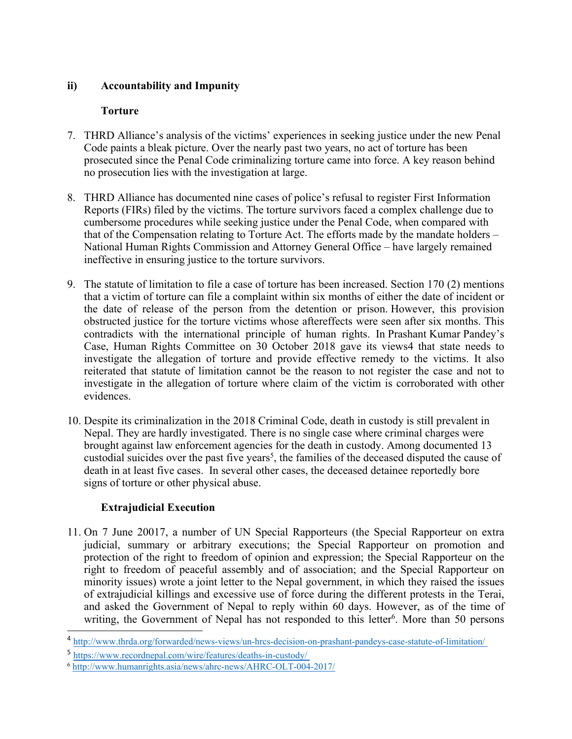## **ii) Accountability and Impunity**

## **Torture**

- 7. THRD Alliance'<sup>s</sup> analysis of the victims' experiences in seeking justice under the new Penal Code paints <sup>a</sup> bleak picture. Over the nearly pas<sup>t</sup> two years, no act of torture has been prosecuted since the Penal Code criminalizing torture came into force. Akey reason behind no prosecution lies with the investigation at large.
- 8. THRD Alliance has documented nine cases of police'<sup>s</sup> refusal to register First Information Reports (FIRs) filed by the victims. The torture survivors faced <sup>a</sup> complex challenge due to cumbersome procedures while seeking justice under the Penal Code, when compared with that of the Compensation relating to Torture Act. The efforts made by the mandate holders – National Human Rights Commission and Attorney General Office – have largely remained ineffective in ensuring justice to the torture survivors.
- 9. The statute of limitation to file <sup>a</sup> case of torture has been increased. Section 170 (2) mentions that <sup>a</sup> victim of torture can file <sup>a</sup> complaint within six months of either the date of incident or the date of release of the person from the detention or prison. However, this provision obstructed justice for the torture victims whose aftereffects were seen after six months. This contradicts with the international principle of human rights. In Prashant Kumar Pandey'<sup>s</sup> Case, Human Rights Committee on 30 October 2018 gave its views4 that state needs to investigate the allegation of torture and provide effective remedy to the victims. It also reiterated that statute of limitation cannot be the reason to not register the case and not to investigate in the allegation of torture where claim of the victim is corroborated with other evidences.
- 10. Despite its criminalization in the 2018 Criminal Code, death in custody is still prevalent in Nepal. They are hardly investigated. There is no single case where criminal charges were brought against law enforcement agencies for the death in custody. Among documented 13 custodial suicides over the pas<sup>t</sup> five years 5 , the families of the deceased disputed the cause of death in at least five cases. In several other cases, the deceased detainee reportedly bore signs of torture or other physical abuse.

## **Extrajudicial Execution**

11. On 7 June 20017, <sup>a</sup> number of UN Special Rapporteurs (the Special Rapporteur on extra judicial, summary or arbitrary executions; the Special Rapporteur on promotion and protection of the right to freedom of opinion and expression; the Special Rapporteur on the right to freedom of peaceful assembly and of association; and the Special Rapporteur on minority issues) wrote <sup>a</sup> joint letter to the Nepal government, in which they raised the issues of extrajudicial killings and excessive use of force during the different protests in the Terai, and asked the Government of Nepal to reply within 60 days. However, as of the time of writing, the Government of Nepal has not responded to this letter<sup>6</sup>. More than 50 persons

<sup>4</sup> <http://www.thrda.org/forwarded/news-views/un-hrcs-decision-on-prashant-pandeys-case-statute-of-limitation/>

<sup>5</sup> <https://www.recordnepal.com/wire/features/deaths-in-custody/>

<sup>6</sup> <http://www.humanrights.asia/news/ahrc-news/AHRC-OLT-004-2017/>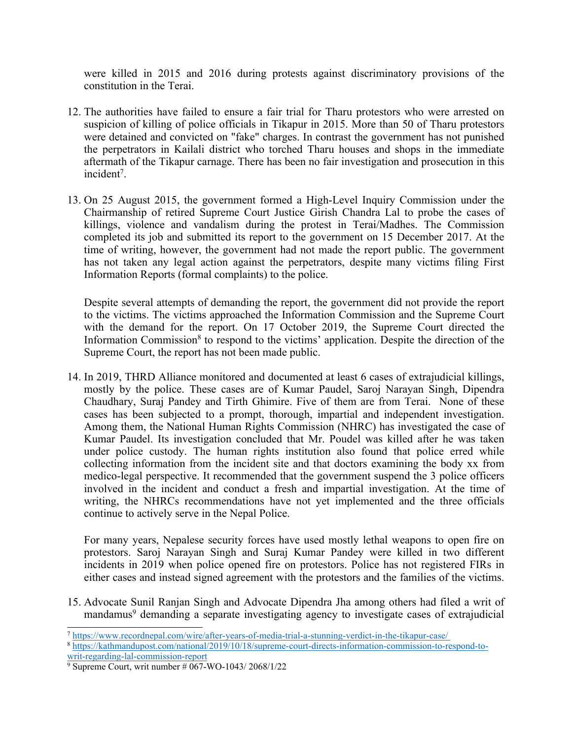were killed in 2015 and 2016 during protests against discriminatory provisions of the constitution in the Terai.

- 12. The authorities have failed to ensure <sup>a</sup> fair trial for Tharu protestors who were arrested on suspicion of killing of police officials in Tikapur in 2015. More than 50 of Tharu protestors were detained and convicted on "fake" charges. In contrast the governmen<sup>t</sup> has not punished the perpetrators in Kailali district who torched Tharu houses and shops in the immediate aftermath of the Tikapur carnage. There has been no fair investigation and prosecution in this incident<sup>7</sup>.
- 13. On 25 August 2015, the governmen<sup>t</sup> formed <sup>a</sup> High-Level Inquiry Commission under the Chairmanship of retired Supreme Court Justice Girish Chandra Lal to probe the cases of killings, violence and vandalism during the protest in Terai/Madhes. The Commission completed its job and submitted its repor<sup>t</sup> to the governmen<sup>t</sup> on 15 December 2017. At the time of writing, however, the governmen<sup>t</sup> had not made the repor<sup>t</sup> public. The governmen<sup>t</sup> has not taken any legal action against the perpetrators, despite many victims filing First Information Reports (formal complaints) to the police.

Despite several attempts of demanding the report, the governmen<sup>t</sup> did not provide the repor<sup>t</sup> to the victims. The victims approached the Information Commission and the Supreme Court with the demand for the report. On 17 October 2019, the Supreme Court directed the Information Commission<sup>8</sup> to respond to the victims' application. Despite the direction of the Supreme Court, the repor<sup>t</sup> has not been made public.

14. In 2019, THRD Alliance monitored and documented at least 6 cases of extrajudicial killings, mostly by the police. These cases are of Kumar Paudel, Saroj Narayan Singh, Dipendra Chaudhary, Suraj Pandey and Tirth Ghimire. Five of them are from Terai. None of these cases has been subjected to <sup>a</sup> prompt, thorough, impartial and independent investigation. Among them, the National Human Rights Commission (NHRC) has investigated the case of Kumar Paudel. Its investigation concluded that Mr. Poudel was killed after he was taken under police custody. The human rights institution also found that police erred while collecting information from the incident site and that doctors examining the body xx from medico-legal perspective. It recommended that the governmen<sup>t</sup> suspend the 3 police officers involved in the incident and conduct <sup>a</sup> fresh and impartial investigation. At the time of writing, the NHRCs recommendations have not ye<sup>t</sup> implemented and the three officials continue to actively serve in the Nepal Police.

For many years, Nepalese security forces have used mostly lethal weapons to open fire on protestors. Saroj Narayan Singh and Suraj Kumar Pandey were killed in two different incidents in 2019 when police opened fire on protestors. Police has not registered FIRs in either cases and instead signed agreemen<sup>t</sup> with the protestors and the families of the victims.

15. Advocate Sunil Ranjan Singh and Advocate Dipendra Jha among others had filed <sup>a</sup> writ of mandamus 9 demanding <sup>a</sup> separate investigating agency to investigate cases of extrajudicial

<sup>7</sup> <https://www.recordnepal.com/wire/after-years-of-media-trial-a-stunning-verdict-in-the-tikapur-case/>

<sup>8</sup> [https://kathmandupost.com/national/2019/10/18/supreme-court-directs-information-commission-to-respond-to](https://kathmandupost.com/national/2019/10/18/supreme-court-directs-information-commission-to-respond-to-writ-regarding-lal-commission-report)[writ-regarding-lal-commission-report](https://kathmandupost.com/national/2019/10/18/supreme-court-directs-information-commission-to-respond-to-writ-regarding-lal-commission-report)

<sup>9</sup> Supreme Court, writ number # 067-WO-1043/ 2068/1/22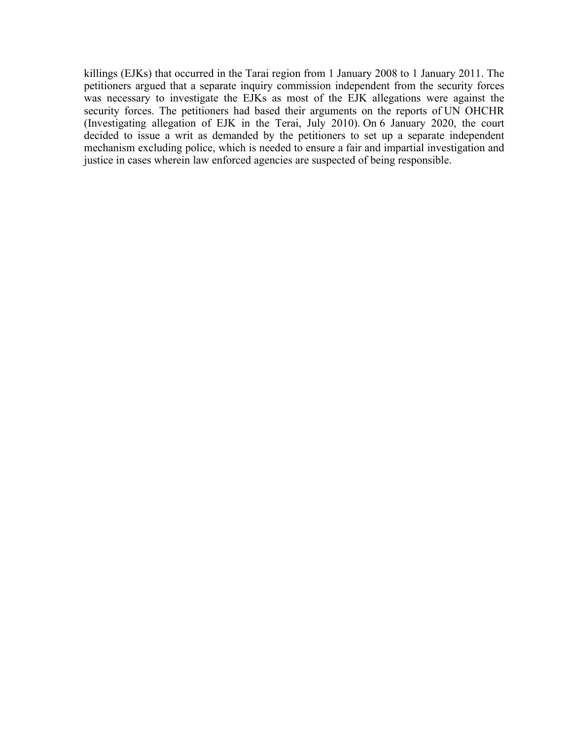killings (EJKs) that occurred in the Tarai region from 1 January 2008 to 1 January 2011. The petitioners argued that <sup>a</sup> separate inquiry commission independent from the security forces was necessary to investigate the EJKs as most of the EJK allegations were against the security forces. The petitioners had based their arguments on the reports of UN OHCHR (Investigating allegation of EJK in the Terai, July 2010). On 6 January 2020, the court decided to issue <sup>a</sup> writ as demanded by the petitioners to set up <sup>a</sup> separate independent mechanism excluding police, which is needed to ensure <sup>a</sup> fair and impartial investigation and justice in cases wherein law enforced agencies are suspected of being responsible.